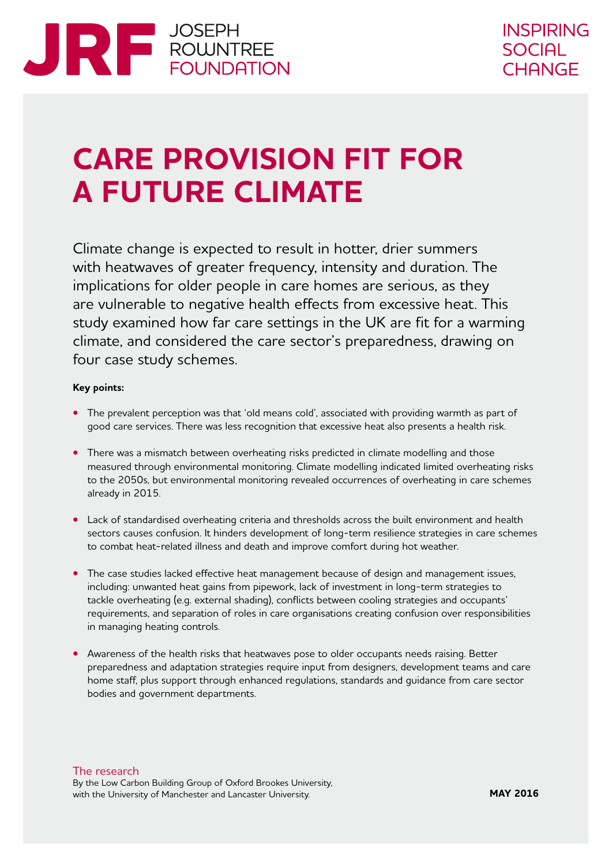

## **CARE PROVISION FIT FOR A FUTURE CLIMATE**

Climate change is expected to result in hotter, drier summers with heatwaves of greater frequency, intensity and duration. The implications for older people in care homes are serious, as they are vulnerable to negative health effects from excessive heat. This study examined how far care settings in the UK are fit for a warming climate, and considered the care sector's preparedness, drawing on four case study schemes.

#### **Key points:**

- **•** The prevalent perception was that 'old means cold', associated with providing warmth as part of good care services. There was less recognition that excessive heat also presents a health risk.
- **•** There was a mismatch between overheating risks predicted in climate modelling and those measured through environmental monitoring. Climate modelling indicated limited overheating risks to the 2050s, but environmental monitoring revealed occurrences of overheating in care schemes already in 2015.
- **•** Lack of standardised overheating criteria and thresholds across the built environment and health sectors causes confusion. It hinders development of long-term resilience strategies in care schemes to combat heat-related illness and death and improve comfort during hot weather.
- **•** The case studies lacked effective heat management because of design and management issues, including: unwanted heat gains from pipework, lack of investment in long-term strategies to tackle overheating (e.g. external shading), conflicts between cooling strategies and occupants' requirements, and separation of roles in care organisations creating confusion over responsibilities in managing heating controls.
- Awareness of the health risks that heatwaves pose to older occupants needs raising. Better preparedness and adaptation strategies require input from designers, development teams and care home staff, plus support through enhanced regulations, standards and guidance from care sector bodies and government departments.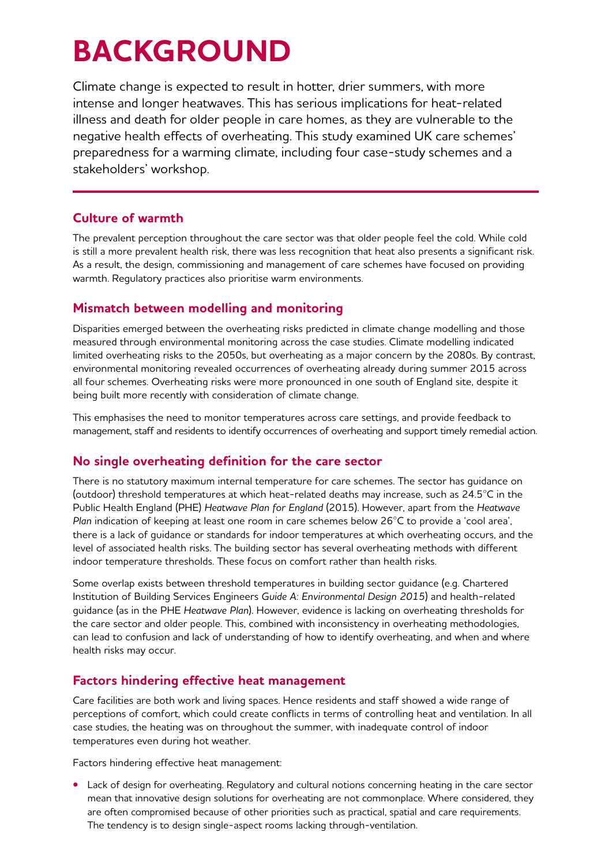# **BACKGROUND**

Climate change is expected to result in hotter, drier summers, with more intense and longer heatwaves. This has serious implications for heat-related illness and death for older people in care homes, as they are vulnerable to the negative health effects of overheating. This study examined UK care schemes' preparedness for a warming climate, including four case-study schemes and a stakeholders' workshop.

## **Culture of warmth**

The prevalent perception throughout the care sector was that older people feel the cold. While cold is still a more prevalent health risk, there was less recognition that heat also presents a significant risk. As a result, the design, commissioning and management of care schemes have focused on providing warmth. Regulatory practices also prioritise warm environments.

## **Mismatch between modelling and monitoring**

Disparities emerged between the overheating risks predicted in climate change modelling and those measured through environmental monitoring across the case studies. Climate modelling indicated limited overheating risks to the 2050s, but overheating as a major concern by the 2080s. By contrast, environmental monitoring revealed occurrences of overheating already during summer 2015 across all four schemes. Overheating risks were more pronounced in one south of England site, despite it being built more recently with consideration of climate change.

This emphasises the need to monitor temperatures across care settings, and provide feedback to management, staff and residents to identify occurrences of overheating and support timely remedial action.

## **No single overheating definition for the care sector**

There is no statutory maximum internal temperature for care schemes. The sector has guidance on (outdoor) threshold temperatures at which heat-related deaths may increase, such as 24.5°C in the Public Health England (PHE) *Heatwave Plan for England* (2015). However, apart from the *Heatwave Plan* indication of keeping at least one room in care schemes below 26°C to provide a 'cool area', there is a lack of guidance or standards for indoor temperatures at which overheating occurs, and the level of associated health risks. The building sector has several overheating methods with different indoor temperature thresholds. These focus on comfort rather than health risks.

Some overlap exists between threshold temperatures in building sector guidance (e.g. Chartered Institution of Building Services Engineers *Guide A: Environmental Design 2015*) and health-related guidance (as in the PHE *Heatwave Plan*). However, evidence is lacking on overheating thresholds for the care sector and older people. This, combined with inconsistency in overheating methodologies, can lead to confusion and lack of understanding of how to identify overheating, and when and where health risks may occur.

## **Factors hindering effective heat management**

Care facilities are both work and living spaces. Hence residents and staff showed a wide range of perceptions of comfort, which could create conflicts in terms of controlling heat and ventilation. In all case studies, the heating was on throughout the summer, with inadequate control of indoor temperatures even during hot weather.

Factors hindering effective heat management:

**•** Lack of design for overheating. Regulatory and cultural notions concerning heating in the care sector mean that innovative design solutions for overheating are not commonplace. Where considered, they are often compromised because of other priorities such as practical, spatial and care requirements. The tendency is to design single-aspect rooms lacking through-ventilation.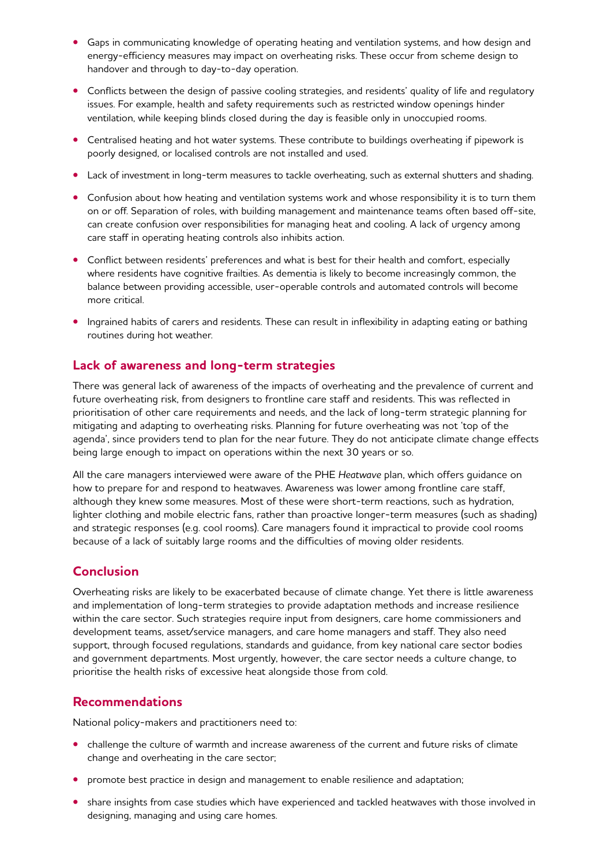- **•** Gaps in communicating knowledge of operating heating and ventilation systems, and how design and energy-efficiency measures may impact on overheating risks. These occur from scheme design to handover and through to day-to-day operation.
- **•** Conflicts between the design of passive cooling strategies, and residents' quality of life and regulatory issues. For example, health and safety requirements such as restricted window openings hinder ventilation, while keeping blinds closed during the day is feasible only in unoccupied rooms.
- **•** Centralised heating and hot water systems. These contribute to buildings overheating if pipework is poorly designed, or localised controls are not installed and used.
- **•** Lack of investment in long-term measures to tackle overheating, such as external shutters and shading.
- **•** Confusion about how heating and ventilation systems work and whose responsibility it is to turn them on or off. Separation of roles, with building management and maintenance teams often based off-site, can create confusion over responsibilities for managing heat and cooling. A lack of urgency among care staff in operating heating controls also inhibits action.
- **•** Conflict between residents' preferences and what is best for their health and comfort, especially where residents have cognitive frailties. As dementia is likely to become increasingly common, the balance between providing accessible, user-operable controls and automated controls will become more critical.
- **•** Ingrained habits of carers and residents. These can result in inflexibility in adapting eating or bathing routines during hot weather.

#### **Lack of awareness and long-term strategies**

There was general lack of awareness of the impacts of overheating and the prevalence of current and future overheating risk, from designers to frontline care staff and residents. This was reflected in prioritisation of other care requirements and needs, and the lack of long-term strategic planning for mitigating and adapting to overheating risks. Planning for future overheating was not 'top of the agenda', since providers tend to plan for the near future. They do not anticipate climate change effects being large enough to impact on operations within the next 30 years or so.

All the care managers interviewed were aware of the PHE *Heatwave* plan, which offers guidance on how to prepare for and respond to heatwaves. Awareness was lower among frontline care staff, although they knew some measures. Most of these were short-term reactions, such as hydration, lighter clothing and mobile electric fans, rather than proactive longer-term measures (such as shading) and strategic responses (e.g. cool rooms). Care managers found it impractical to provide cool rooms because of a lack of suitably large rooms and the difficulties of moving older residents.

### **Conclusion**

Overheating risks are likely to be exacerbated because of climate change. Yet there is little awareness and implementation of long-term strategies to provide adaptation methods and increase resilience within the care sector. Such strategies require input from designers, care home commissioners and development teams, asset/service managers, and care home managers and staff. They also need support, through focused regulations, standards and guidance, from key national care sector bodies and government departments. Most urgently, however, the care sector needs a culture change, to prioritise the health risks of excessive heat alongside those from cold.

### **Recommendations**

National policy-makers and practitioners need to:

- challenge the culture of warmth and increase awareness of the current and future risks of climate change and overheating in the care sector;
- **•** promote best practice in design and management to enable resilience and adaptation;
- share insights from case studies which have experienced and tackled heatwaves with those involved in designing, managing and using care homes.